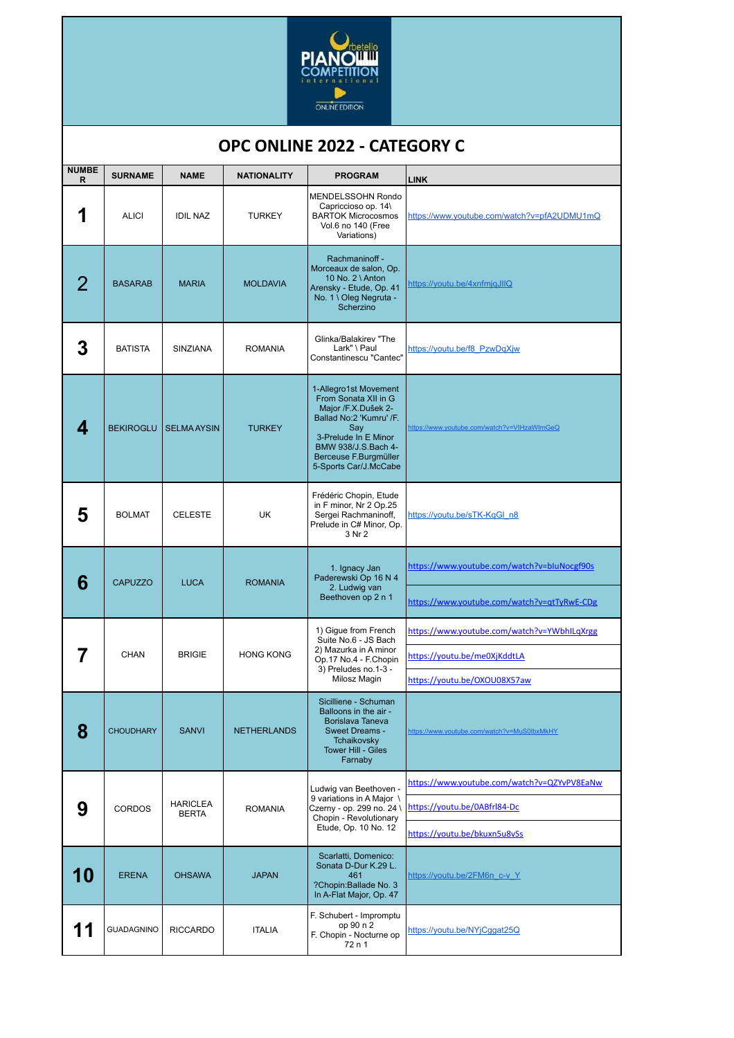

## **NUMBE R SURNAME NAME NATIONALITY PROGRAM LINK 1** ALICI DIL NAZ TURKEY MENDELSSOHN Rondo Capriccioso op. 14\ BARTOK Microcosmos Vol.6 no 140 (Free Variations) https://www.youtube.com/watch?v=pfA2UDMU1mQ 2 | BASARAB | MARIA | MOLDAVIA Rachmaninoff - Morceaux de salon, Op. 10 No. 2 \ Anton Arensky - Etude, Op. 41 No. 1 \ Oleg Negruta - **Scherzino** https://youtu.be/4xnfmjqJIlQ  $\mathbf 3$  Batista Sinziana Romania Glinka/Balakirev "The Lark" \ Paul Constantinescu "Cantec" https://youtu.be/f8\_PzwDqXjw **4** BEKIROGLU SELMA AYSIN TURKEY 1-Allegro1st Movement From Sonata XII in G Major /F.X.Dušek 2-Ballad No:2 'Kumru' /F. Say<br>3-Prelude In E Minor<br>BMW 938/J.S.Bach 4-Berceuse F.Burgmüller 5-Sports Car/J.McCabe https://www.youtube.com/watch?v=VIHzaWImGeQ **5** BOLMAT CELESTE UK Frédéric Chopin, Etude in F minor, Nr 2 Op.25 Sergei Rachmaninoff, Prelude in C# Minor, Op. 3 Nr 2 https://youtu.be/sTK-KqGl\_n8 **6** CAPUZZO LUCA ROMANIA 1. Ignacy Jan Paderewski Op 16 N 4 2. Ludwig van Beethoven op 2 n 1 https://www.youtube.com/watch?v=bIuNocgf90s https://www.youtube.com/watch?v=qtTyRwE-CDg **7** CHAN BRIGIE HONG KONG 1) Gigue from French Suite No.6 - JS Bach 2) Mazurka in A minor Op.17 No.4 - F.Chopin 3) Preludes no.1-3 - Milosz Magin https://www.youtube.com/watch?v=YWbhILqXrgg https://youtu.be/me0XjKddtLA https://youtu.be/OXOU08X57aw **8** CHOUDHARY SANVI RETHERLANDS Sicilliene - Schuman Balloons in the air - Borislava Taneva Sweet Dreams - Tchaikovsky Tower Hill - Giles Farnaby w.youtube.com/watch?v=MuS0lbxMkHY **9** CORDOS HARICLEA ARICLEA ROMANIA<br>BERTA Ludwig van Beethoven - 9 variations in A Major \ Czerny - op. 299 no. 24 \ Chopin - Revolutionary Etude, Op. 10 No. 12 https://www.youtube.com/watch?v=QZYvPV8EaNw https://youtu.be/0ABfrl84-Dc https://youtu.be/bkuxn5u8vSs **10** ERENA OHSAWA JAPAN Scarlatti, Domenico: Sonata D-Dur K.29 L.  $461$ ?Chopin:Ballade No. 3 In A-Flat Major, Op. 47 https://youtu.be/2FM6n\_c-v\_Y 11 GUADAGNINO RICCARDO TTALIA F. Schubert - Impromptu op 90 n 2 F. Chopin - Nocturne op 72 n 1 https://youtu.be/NYjCggat25Q

## **OPC ONLINE 2022 - CATEGORY C**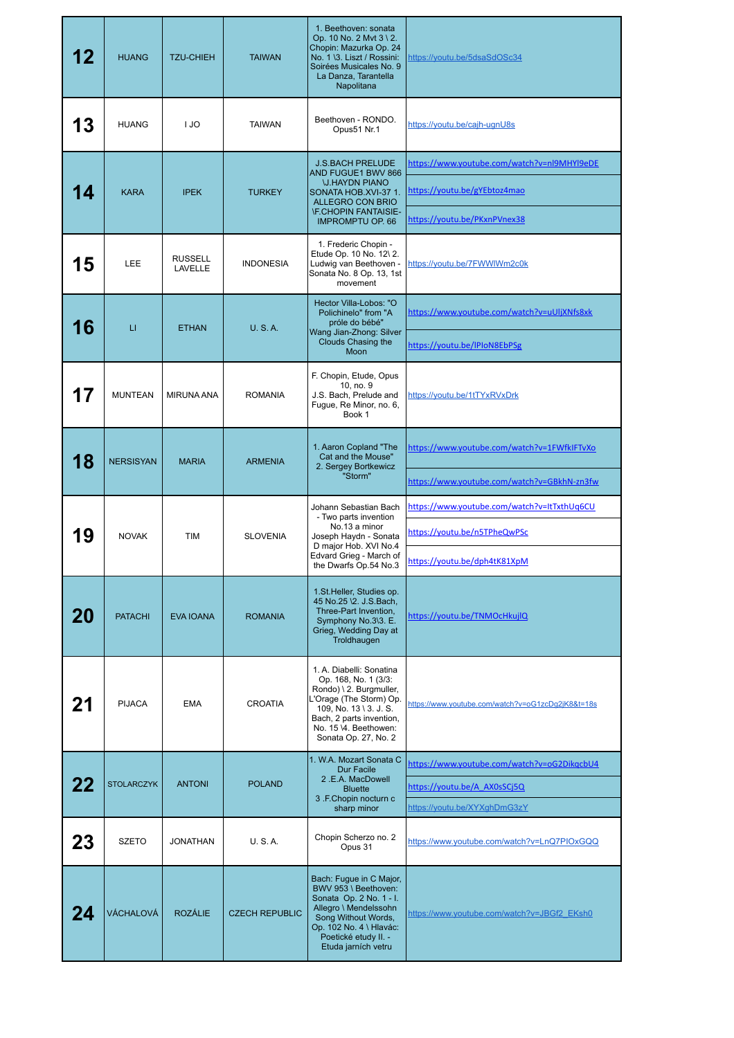|    | <b>HUANG</b>      | <b>TZU-CHIEH</b>          | <b>TAIWAN</b>         | 1. Beethoven: sonata<br>Op. 10 No. 2 Mvt 3 \ 2.<br>Chopin: Mazurka Op. 24<br>No. 1 \3. Liszt / Rossini:<br>Soirées Musicales No. 9<br>La Danza, Tarantella<br>Napolitana                                      | https://youtu.be/5dsaSdOSc34                      |
|----|-------------------|---------------------------|-----------------------|---------------------------------------------------------------------------------------------------------------------------------------------------------------------------------------------------------------|---------------------------------------------------|
| 13 | <b>HUANG</b>      | I JO                      | <b>TAIWAN</b>         | Beethoven - RONDO.<br>Opus51 Nr.1                                                                                                                                                                             | https://youtu.be/cajh-ugnU8s                      |
|    | <b>KARA</b>       | <b>IPEK</b>               | <b>TURKEY</b>         | <b>J.S.BACH PRELUDE</b><br><b>AND FUGUE1 BWV 866</b><br><b><i><u>U.HAYDN PIANO</u></i></b><br>SONATA HOB.XVI-37 1.<br>ALLEGRO CON BRIO<br><b>IF.CHOPIN FANTAISIE-</b><br><b>IMPROMPTU OP. 66</b>              | https://www.youtube.com/watch?v=nl9MHYl9eDE       |
|    |                   |                           |                       |                                                                                                                                                                                                               | https://youtu.be/gYEbtoz4mao                      |
|    |                   |                           |                       |                                                                                                                                                                                                               | https://youtu.be/PKxnPVnex38                      |
| 15 | <b>LEE</b>        | <b>RUSSELL</b><br>LAVELLE | <b>INDONESIA</b>      | 1. Frederic Chopin -<br>Etude Op. 10 No. 12\2.<br>Ludwig van Beethoven -<br>Sonata No. 8 Op. 13, 1st<br>movement                                                                                              | https://youtu.be/7FWWIWm2c0k                      |
| 16 | $\sqcup$          | <b>ETHAN</b>              | U. S.A.               | Hector Villa-Lobos: "O<br>Polichinelo" from "A<br>próle do bébé"<br>Wang Jian-Zhong: Silver<br>Clouds Chasing the<br>Moon                                                                                     | https://www.youtube.com/watch?v=uUljXNfs8xk       |
|    |                   |                           |                       |                                                                                                                                                                                                               | https://youtu.be/IPIoN8EbPSg                      |
| 17 | <b>MUNTEAN</b>    | <b>MIRUNA ANA</b>         | <b>ROMANIA</b>        | F. Chopin, Etude, Opus<br>10, no. 9<br>J.S. Bach, Prelude and<br>Fugue, Re Minor, no. 6,<br>Book 1                                                                                                            | https://youtu.be/1tTYxRVxDrk                      |
| 18 | <b>NERSISYAN</b>  | <b>MARIA</b>              | <b>ARMENIA</b>        | 1. Aaron Copland "The<br>Cat and the Mouse"<br>2. Sergey Bortkewicz<br>"Storm"                                                                                                                                | https://www.youtube.com/watch?v=1FWfkIFTvXo       |
|    |                   |                           |                       |                                                                                                                                                                                                               | https://www.youtube.com/watch?v=GBkhN-zn3fw       |
| 19 | <b>NOVAK</b>      | <b>TIM</b>                | <b>SLOVENIA</b>       | Johann Sebastian Bach<br>- Two parts invention<br>No.13 a minor<br>Joseph Haydn - Sonata<br>D major Hob. XVI No.4<br>Edvard Grieg - March of<br>the Dwarfs Op.54 No.3                                         | https://www.youtube.com/watch?v=ItTxthUq6CU       |
|    |                   |                           |                       |                                                                                                                                                                                                               | https://youtu.be/n5TPheQwPSc                      |
|    |                   |                           |                       |                                                                                                                                                                                                               | https://youtu.be/dph4tK81XpM                      |
| 20 | <b>PATACHI</b>    | <b>EVA IOANA</b>          | <b>ROMANIA</b>        | 1.St. Heller, Studies op.<br>45 No.25 \2. J.S.Bach,<br>Three-Part Invention,<br>Symphony No.3\3. E.<br>Grieg, Wedding Day at<br>Troldhaugen                                                                   | https://youtu.be/TNMOcHkujlQ                      |
|    | <b>PIJACA</b>     | <b>EMA</b>                | <b>CROATIA</b>        | 1. A. Diabelli: Sonatina<br>Op. 168, No. 1 (3/3:<br>Rondo) \ 2. Burgmuller,<br>L'Orage (The Storm) Op.<br>109, No. 13 \ 3. J. S.<br>Bach, 2 parts invention,<br>No. 15 \4. Beethowen:<br>Sonata Op. 27, No. 2 | https://www.youtube.com/watch?v=oG1zcDq2jK8&t=18s |
| 22 | <b>STOLARCZYK</b> | <b>ANTONI</b>             | <b>POLAND</b>         | 1. W.A. Mozart Sonata C<br>Dur Facile<br>2.E.A. MacDowell<br><b>Bluette</b><br>3 .F.Chopin nocturn c                                                                                                          | https://www.youtube.com/watch?v=oG2DikgcbU4       |
|    |                   |                           |                       |                                                                                                                                                                                                               | https://youtu.be/A AX0sSCj5Q                      |
|    |                   |                           |                       | sharp minor                                                                                                                                                                                                   | https://youtu.be/XYXghDmG3zY                      |
| 23 | <b>SZETO</b>      | JONATHAN                  | U. S.A.               | Chopin Scherzo no. 2<br>Opus 31                                                                                                                                                                               | https://www.youtube.com/watch?v=LnQ7PIOxGQQ       |
|    | VÁCHALOVÁ         | <b>ROZÁLIE</b>            | <b>CZECH REPUBLIC</b> | Bach: Fugue in C Major,<br>BWV 953 \ Beethoven:<br>Sonata Op. 2 No. 1 - I.<br>Allegro \ Mendelssohn<br>Song Without Words,<br>Op. 102 No. 4 \ Hlavác:<br>Poetické etudy II. -<br>Etuda jarních vetru          | https://www.youtube.com/watch?v=JBGf2 EKsh0       |